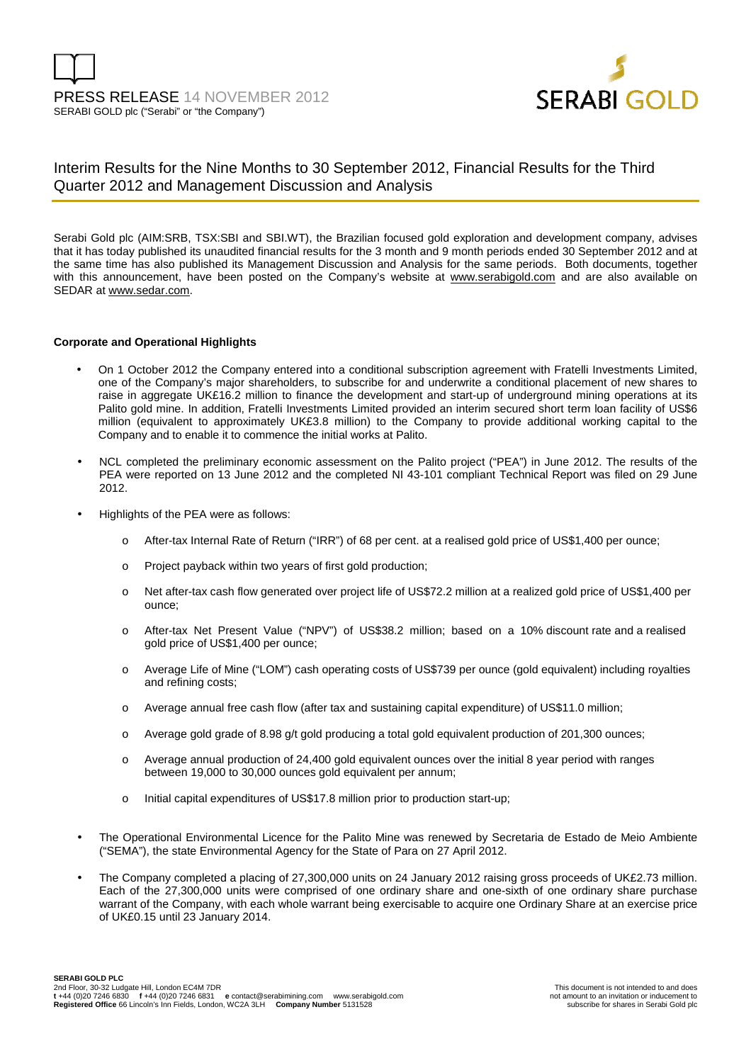

### Interim Results for the Nine Months to 30 September 2012, Financial Results for the Third Quarter 2012 and Management Discussion and Analysis

Serabi Gold plc (AIM:SRB, TSX:SBI and SBI.WT), the Brazilian focused gold exploration and development company, advises that it has today published its unaudited financial results for the 3 month and 9 month periods ended 30 September 2012 and at the same time has also published its Management Discussion and Analysis for the same periods. Both documents, together with this announcement, have been posted on the Company's website at www.serabigold.com and are also available on SEDAR at www.sedar.com.

#### **Corporate and Operational Highlights**

- On 1 October 2012 the Company entered into a conditional subscription agreement with Fratelli Investments Limited, one of the Company's major shareholders, to subscribe for and underwrite a conditional placement of new shares to raise in aggregate UK£16.2 million to finance the development and start-up of underground mining operations at its Palito gold mine. In addition, Fratelli Investments Limited provided an interim secured short term loan facility of US\$6 million (equivalent to approximately UK£3.8 million) to the Company to provide additional working capital to the Company and to enable it to commence the initial works at Palito.
- NCL completed the preliminary economic assessment on the Palito project ("PEA") in June 2012. The results of the PEA were reported on 13 June 2012 and the completed NI 43-101 compliant Technical Report was filed on 29 June 2012.
- Highlights of the PEA were as follows:
	- o After-tax Internal Rate of Return ("IRR") of 68 per cent. at a realised gold price of US\$1,400 per ounce;
	- o Project payback within two years of first gold production;
	- o Net after-tax cash flow generated over project life of US\$72.2 million at a realized gold price of US\$1,400 per ounce;
	- o After-tax Net Present Value ("NPV") of US\$38.2 million; based on a 10% discount rate and a realised gold price of US\$1,400 per ounce;
	- Average Life of Mine ("LOM") cash operating costs of US\$739 per ounce (gold equivalent) including royalties and refining costs;
	- o Average annual free cash flow (after tax and sustaining capital expenditure) of US\$11.0 million;
	- o Average gold grade of 8.98 g/t gold producing a total gold equivalent production of 201,300 ounces;
	- o Average annual production of 24,400 gold equivalent ounces over the initial 8 year period with ranges between 19,000 to 30,000 ounces gold equivalent per annum;
	- o Initial capital expenditures of US\$17.8 million prior to production start-up;
- The Operational Environmental Licence for the Palito Mine was renewed by Secretaria de Estado de Meio Ambiente ("SEMA"), the state Environmental Agency for the State of Para on 27 April 2012.
- The Company completed a placing of 27,300,000 units on 24 January 2012 raising gross proceeds of UK£2.73 million. Each of the 27,300,000 units were comprised of one ordinary share and one-sixth of one ordinary share purchase warrant of the Company, with each whole warrant being exercisable to acquire one Ordinary Share at an exercise price of UK£0.15 until 23 January 2014.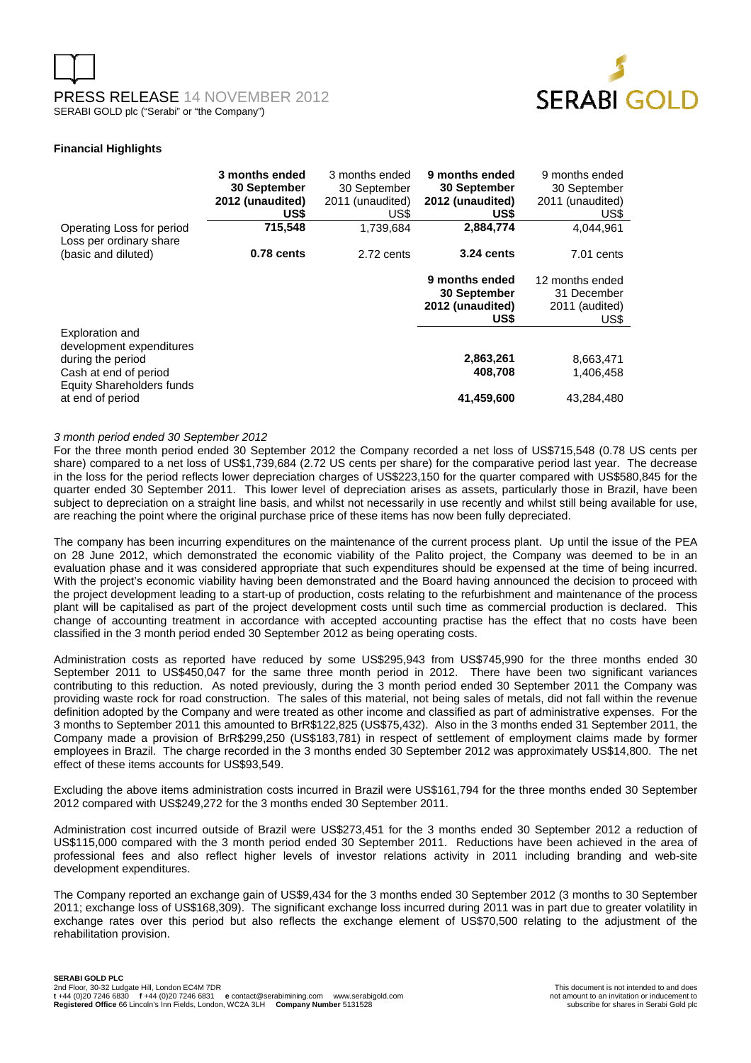

#### **Financial Highlights**

|                                                      | 3 months ended<br>30 September<br>2012 (unaudited)<br>US\$ | 3 months ended<br>30 September<br>2011 (unaudited)<br>US\$ | 9 months ended<br>30 September<br>2012 (unaudited)<br>US\$ | 9 months ended<br>30 September<br>2011 (unaudited)<br>US\$ |
|------------------------------------------------------|------------------------------------------------------------|------------------------------------------------------------|------------------------------------------------------------|------------------------------------------------------------|
| Operating Loss for period<br>Loss per ordinary share | 715,548                                                    | 1,739,684                                                  | 2,884,774                                                  | 4,044,961                                                  |
| (basic and diluted)                                  | 0.78 cents                                                 | 2.72 cents                                                 | 3.24 cents                                                 | 7.01 cents                                                 |
|                                                      |                                                            |                                                            | 9 months ended                                             | 12 months ended                                            |
|                                                      |                                                            |                                                            | 30 September                                               | 31 December                                                |
|                                                      |                                                            |                                                            | 2012 (unaudited)<br>US\$                                   | 2011 (audited)<br>US\$                                     |
| Exploration and<br>development expenditures          |                                                            |                                                            |                                                            |                                                            |
| during the period                                    |                                                            |                                                            | 2,863,261                                                  | 8,663,471                                                  |
| Cash at end of period<br>Equity Shareholders funds   |                                                            |                                                            | 408,708                                                    | 1,406,458                                                  |
| at end of period                                     |                                                            |                                                            | 41,459,600                                                 | 43.284.480                                                 |

#### 3 month period ended 30 September 2012

For the three month period ended 30 September 2012 the Company recorded a net loss of US\$715,548 (0.78 US cents per share) compared to a net loss of US\$1,739,684 (2.72 US cents per share) for the comparative period last year. The decrease in the loss for the period reflects lower depreciation charges of US\$223,150 for the quarter compared with US\$580,845 for the quarter ended 30 September 2011. This lower level of depreciation arises as assets, particularly those in Brazil, have been subject to depreciation on a straight line basis, and whilst not necessarily in use recently and whilst still being available for use, are reaching the point where the original purchase price of these items has now been fully depreciated.

The company has been incurring expenditures on the maintenance of the current process plant. Up until the issue of the PEA on 28 June 2012, which demonstrated the economic viability of the Palito project, the Company was deemed to be in an evaluation phase and it was considered appropriate that such expenditures should be expensed at the time of being incurred. With the project's economic viability having been demonstrated and the Board having announced the decision to proceed with the project development leading to a start-up of production, costs relating to the refurbishment and maintenance of the process plant will be capitalised as part of the project development costs until such time as commercial production is declared. This change of accounting treatment in accordance with accepted accounting practise has the effect that no costs have been classified in the 3 month period ended 30 September 2012 as being operating costs.

Administration costs as reported have reduced by some US\$295,943 from US\$745,990 for the three months ended 30 September 2011 to US\$450,047 for the same three month period in 2012. There have been two significant variances contributing to this reduction. As noted previously, during the 3 month period ended 30 September 2011 the Company was providing waste rock for road construction. The sales of this material, not being sales of metals, did not fall within the revenue definition adopted by the Company and were treated as other income and classified as part of administrative expenses. For the 3 months to September 2011 this amounted to BrR\$122,825 (US\$75,432). Also in the 3 months ended 31 September 2011, the Company made a provision of BrR\$299,250 (US\$183,781) in respect of settlement of employment claims made by former employees in Brazil. The charge recorded in the 3 months ended 30 September 2012 was approximately US\$14,800. The net effect of these items accounts for US\$93,549.

Excluding the above items administration costs incurred in Brazil were US\$161,794 for the three months ended 30 September 2012 compared with US\$249,272 for the 3 months ended 30 September 2011.

Administration cost incurred outside of Brazil were US\$273,451 for the 3 months ended 30 September 2012 a reduction of US\$115,000 compared with the 3 month period ended 30 September 2011. Reductions have been achieved in the area of professional fees and also reflect higher levels of investor relations activity in 2011 including branding and web-site development expenditures.

The Company reported an exchange gain of US\$9,434 for the 3 months ended 30 September 2012 (3 months to 30 September 2011; exchange loss of US\$168,309). The significant exchange loss incurred during 2011 was in part due to greater volatility in exchange rates over this period but also reflects the exchange element of US\$70,500 relating to the adjustment of the rehabilitation provision.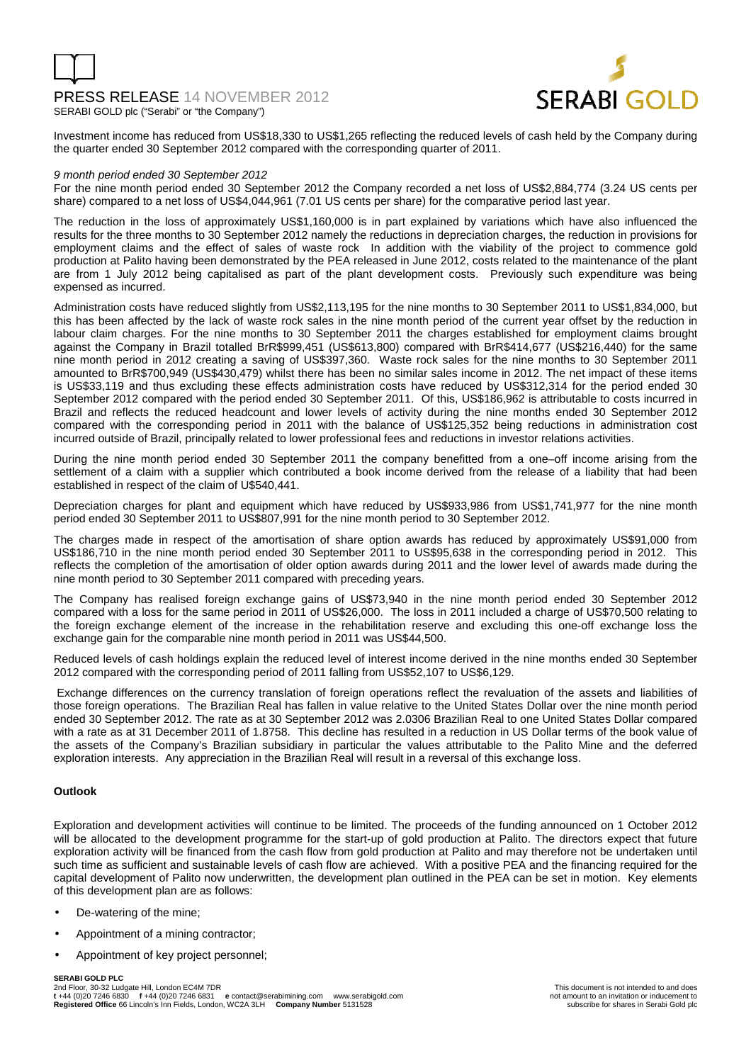# PRESS RELEASE 14 NOVEMBER 2012 SERABI GOLD plc ("Serabi" or "the Company")



Investment income has reduced from US\$18,330 to US\$1,265 reflecting the reduced levels of cash held by the Company during the quarter ended 30 September 2012 compared with the corresponding quarter of 2011.

#### 9 month period ended 30 September 2012

For the nine month period ended 30 September 2012 the Company recorded a net loss of US\$2,884,774 (3.24 US cents per share) compared to a net loss of US\$4,044,961 (7.01 US cents per share) for the comparative period last year.

The reduction in the loss of approximately US\$1,160,000 is in part explained by variations which have also influenced the results for the three months to 30 September 2012 namely the reductions in depreciation charges, the reduction in provisions for employment claims and the effect of sales of waste rock In addition with the viability of the project to commence gold production at Palito having been demonstrated by the PEA released in June 2012, costs related to the maintenance of the plant are from 1 July 2012 being capitalised as part of the plant development costs. Previously such expenditure was being expensed as incurred.

Administration costs have reduced slightly from US\$2,113,195 for the nine months to 30 September 2011 to US\$1,834,000, but this has been affected by the lack of waste rock sales in the nine month period of the current year offset by the reduction in labour claim charges. For the nine months to 30 September 2011 the charges established for employment claims brought against the Company in Brazil totalled BrR\$999,451 (US\$613,800) compared with BrR\$414,677 (US\$216,440) for the same nine month period in 2012 creating a saving of US\$397,360. Waste rock sales for the nine months to 30 September 2011 amounted to BrR\$700,949 (US\$430,479) whilst there has been no similar sales income in 2012. The net impact of these items is US\$33,119 and thus excluding these effects administration costs have reduced by US\$312,314 for the period ended 30 September 2012 compared with the period ended 30 September 2011. Of this, US\$186,962 is attributable to costs incurred in Brazil and reflects the reduced headcount and lower levels of activity during the nine months ended 30 September 2012 compared with the corresponding period in 2011 with the balance of US\$125,352 being reductions in administration cost incurred outside of Brazil, principally related to lower professional fees and reductions in investor relations activities.

During the nine month period ended 30 September 2011 the company benefitted from a one–off income arising from the settlement of a claim with a supplier which contributed a book income derived from the release of a liability that had been established in respect of the claim of U\$540,441.

Depreciation charges for plant and equipment which have reduced by US\$933,986 from US\$1,741,977 for the nine month period ended 30 September 2011 to US\$807,991 for the nine month period to 30 September 2012.

The charges made in respect of the amortisation of share option awards has reduced by approximately US\$91,000 from US\$186,710 in the nine month period ended 30 September 2011 to US\$95,638 in the corresponding period in 2012. This reflects the completion of the amortisation of older option awards during 2011 and the lower level of awards made during the nine month period to 30 September 2011 compared with preceding years.

The Company has realised foreign exchange gains of US\$73,940 in the nine month period ended 30 September 2012 compared with a loss for the same period in 2011 of US\$26,000. The loss in 2011 included a charge of US\$70,500 relating to the foreign exchange element of the increase in the rehabilitation reserve and excluding this one-off exchange loss the exchange gain for the comparable nine month period in 2011 was US\$44,500.

Reduced levels of cash holdings explain the reduced level of interest income derived in the nine months ended 30 September 2012 compared with the corresponding period of 2011 falling from US\$52,107 to US\$6,129.

 Exchange differences on the currency translation of foreign operations reflect the revaluation of the assets and liabilities of those foreign operations. The Brazilian Real has fallen in value relative to the United States Dollar over the nine month period ended 30 September 2012. The rate as at 30 September 2012 was 2.0306 Brazilian Real to one United States Dollar compared with a rate as at 31 December 2011 of 1.8758. This decline has resulted in a reduction in US Dollar terms of the book value of the assets of the Company's Brazilian subsidiary in particular the values attributable to the Palito Mine and the deferred exploration interests. Any appreciation in the Brazilian Real will result in a reversal of this exchange loss.

#### **Outlook**

Exploration and development activities will continue to be limited. The proceeds of the funding announced on 1 October 2012 will be allocated to the development programme for the start-up of gold production at Palito. The directors expect that future exploration activity will be financed from the cash flow from gold production at Palito and may therefore not be undertaken until such time as sufficient and sustainable levels of cash flow are achieved. With a positive PEA and the financing required for the capital development of Palito now underwritten, the development plan outlined in the PEA can be set in motion. Key elements of this development plan are as follows:

- De-watering of the mine;
- Appointment of a mining contractor;
- Appointment of key project personnel;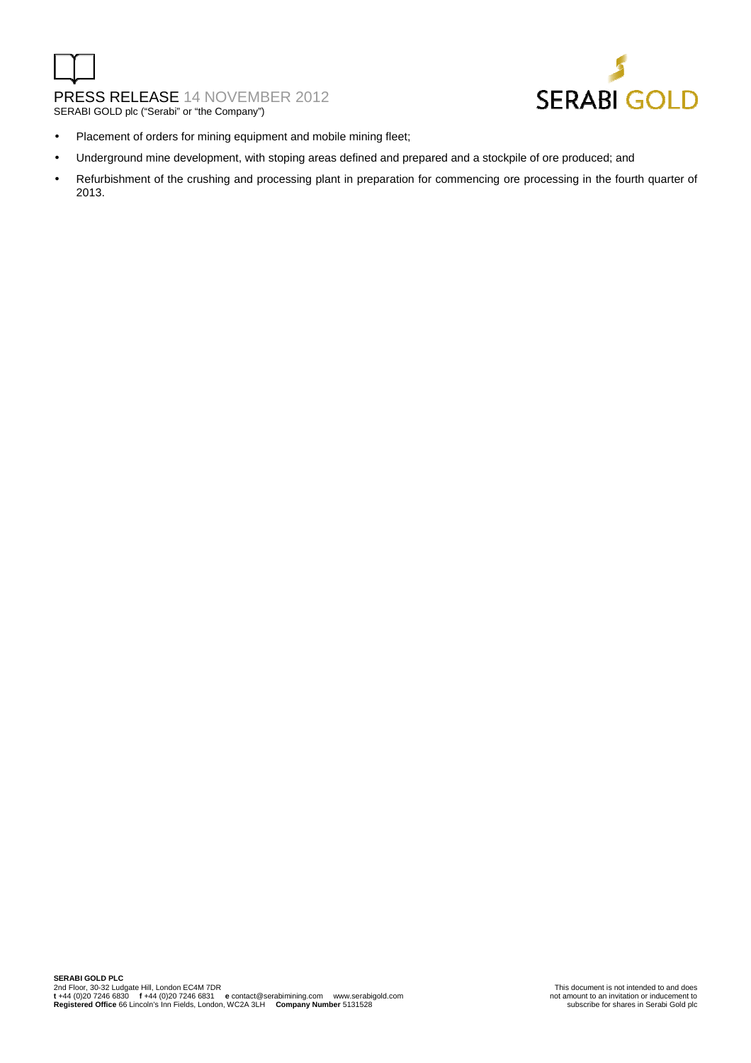# PRESS RELEASE 14 NOVEMBER 2012

SERABI GOLD plc ("Serabi" or "the Company")



- Placement of orders for mining equipment and mobile mining fleet;
- Underground mine development, with stoping areas defined and prepared and a stockpile of ore produced; and
- Refurbishment of the crushing and processing plant in preparation for commencing ore processing in the fourth quarter of 2013.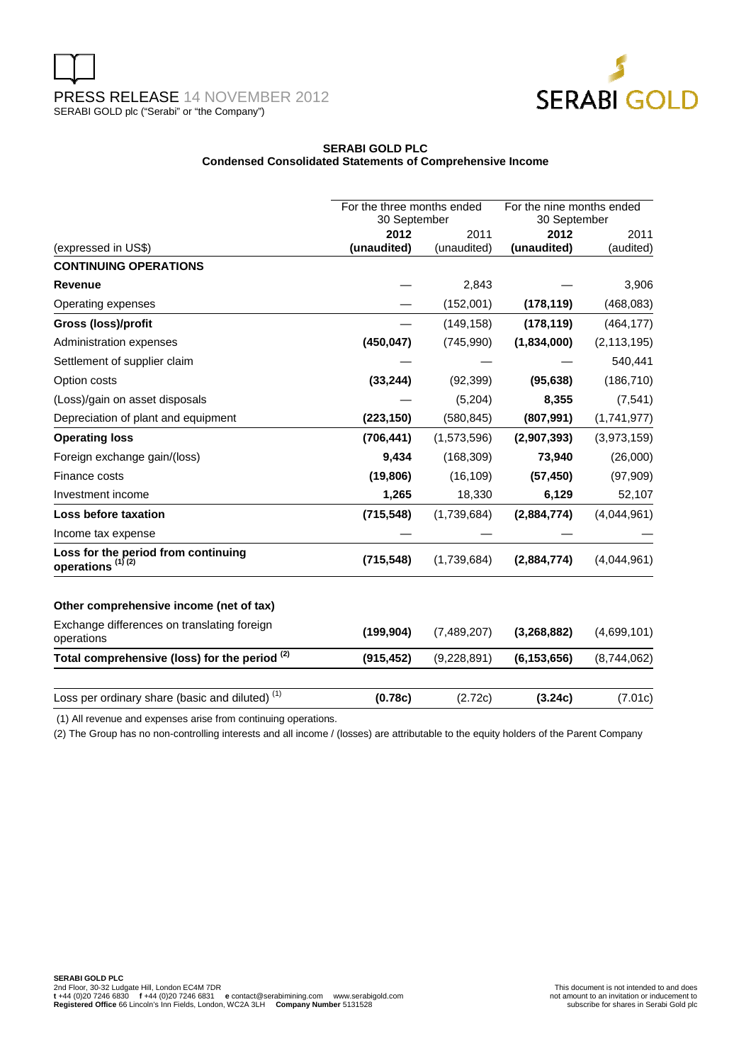

#### **SERABI GOLD PLC Condensed Consolidated Statements of Comprehensive Income**

|                                                                     | For the three months ended<br>30 September |             | For the nine months ended<br>30 September |               |
|---------------------------------------------------------------------|--------------------------------------------|-------------|-------------------------------------------|---------------|
|                                                                     | 2012                                       | 2011        | 2012                                      | 2011          |
| (expressed in US\$)                                                 | (unaudited)                                | (unaudited) | (unaudited)                               | (audited)     |
| <b>CONTINUING OPERATIONS</b>                                        |                                            |             |                                           |               |
| <b>Revenue</b>                                                      |                                            | 2,843       |                                           | 3,906         |
| Operating expenses                                                  |                                            | (152,001)   | (178, 119)                                | (468,083)     |
| Gross (loss)/profit                                                 |                                            | (149, 158)  | (178, 119)                                | (464, 177)    |
| Administration expenses                                             | (450, 047)                                 | (745,990)   | (1,834,000)                               | (2, 113, 195) |
| Settlement of supplier claim                                        |                                            |             |                                           | 540,441       |
| Option costs                                                        | (33, 244)                                  | (92, 399)   | (95, 638)                                 | (186, 710)    |
| (Loss)/gain on asset disposals                                      |                                            | (5,204)     | 8,355                                     | (7, 541)      |
| Depreciation of plant and equipment                                 | (223, 150)                                 | (580, 845)  | (807, 991)                                | (1,741,977)   |
| <b>Operating loss</b>                                               | (706, 441)                                 | (1,573,596) | (2,907,393)                               | (3,973,159)   |
| Foreign exchange gain/(loss)                                        | 9,434                                      | (168, 309)  | 73,940                                    | (26,000)      |
| Finance costs                                                       | (19, 806)                                  | (16, 109)   | (57, 450)                                 | (97, 909)     |
| Investment income                                                   | 1,265                                      | 18,330      | 6,129                                     | 52,107        |
| Loss before taxation                                                | (715, 548)                                 | (1,739,684) | (2,884,774)                               | (4,044,961)   |
| Income tax expense                                                  |                                            |             |                                           |               |
| Loss for the period from continuing<br>operations <sup>(1)(2)</sup> | (715, 548)                                 | (1,739,684) | (2,884,774)                               | (4,044,961)   |
| Other comprehensive income (net of tax)                             |                                            |             |                                           |               |
| Exchange differences on translating foreign<br>operations           | (199, 904)                                 | (7,489,207) | (3, 268, 882)                             | (4,699,101)   |
| Total comprehensive (loss) for the period <sup>(2)</sup>            | (915, 452)                                 | (9,228,891) | (6, 153, 656)                             | (8,744,062)   |
| Loss per ordinary share (basic and diluted) <sup>(1)</sup>          | (0.78c)                                    | (2.72c)     | (3.24c)                                   | (7.01c)       |

(1) All revenue and expenses arise from continuing operations.

(2) The Group has no non-controlling interests and all income / (losses) are attributable to the equity holders of the Parent Company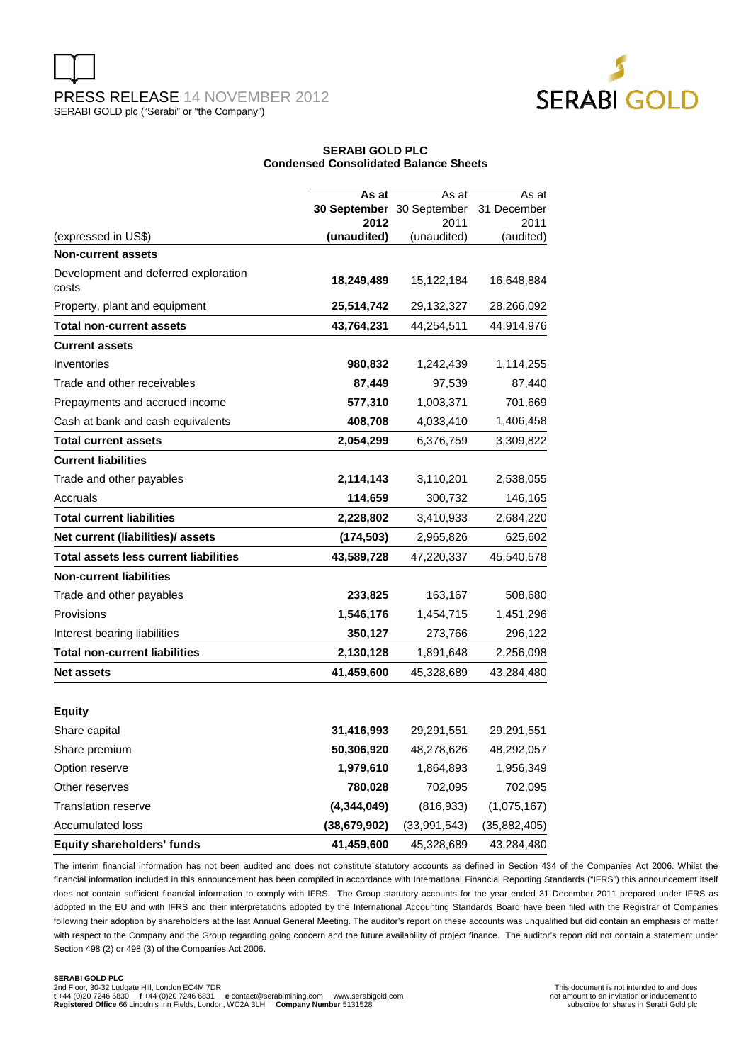

#### **SERABI GOLD PLC Condensed Consolidated Balance Sheets**

|                                               | As at               | As at                     | As at             |  |
|-----------------------------------------------|---------------------|---------------------------|-------------------|--|
|                                               |                     | 30 September 30 September | 31 December       |  |
| (expressed in US\$)                           | 2012<br>(unaudited) | 2011<br>(unaudited)       | 2011<br>(audited) |  |
| <b>Non-current assets</b>                     |                     |                           |                   |  |
|                                               |                     |                           |                   |  |
| Development and deferred exploration<br>costs | 18,249,489          | 15,122,184                | 16,648,884        |  |
| Property, plant and equipment                 | 25,514,742          | 29,132,327                | 28,266,092        |  |
| <b>Total non-current assets</b>               | 43,764,231          | 44,254,511                | 44,914,976        |  |
| <b>Current assets</b>                         |                     |                           |                   |  |
| Inventories                                   | 980,832             | 1,242,439                 | 1,114,255         |  |
| Trade and other receivables                   | 87,449              | 97,539                    | 87,440            |  |
| Prepayments and accrued income                | 577,310             | 1,003,371                 | 701,669           |  |
| Cash at bank and cash equivalents             | 408,708             | 4,033,410                 | 1,406,458         |  |
| <b>Total current assets</b>                   | 2,054,299           | 6,376,759                 | 3,309,822         |  |
| <b>Current liabilities</b>                    |                     |                           |                   |  |
| Trade and other payables                      | 2,114,143           | 3,110,201                 | 2,538,055         |  |
| Accruals                                      | 114,659             | 300,732                   | 146,165           |  |
| <b>Total current liabilities</b>              | 2,228,802           | 3,410,933                 | 2,684,220         |  |
| Net current (liabilities)/ assets             | (174, 503)          | 2,965,826                 | 625,602           |  |
| <b>Total assets less current liabilities</b>  | 43,589,728          | 47,220,337                | 45,540,578        |  |
| <b>Non-current liabilities</b>                |                     |                           |                   |  |
| Trade and other payables                      | 233,825             | 163,167                   | 508,680           |  |
| Provisions                                    | 1,546,176           | 1,454,715                 | 1,451,296         |  |
| Interest bearing liabilities                  | 350,127             | 273,766                   | 296,122           |  |
| <b>Total non-current liabilities</b>          | 2,130,128           | 1,891,648                 | 2,256,098         |  |
| <b>Net assets</b>                             | 41,459,600          | 45,328,689                | 43,284,480        |  |
|                                               |                     |                           |                   |  |
| <b>Equity</b>                                 |                     |                           |                   |  |
| Share capital                                 | 31,416,993          | 29,291,551                | 29,291,551        |  |
| Share premium                                 | 50,306,920          | 48,278,626                | 48,292,057        |  |
| Option reserve                                | 1,979,610           | 1,864,893                 | 1,956,349         |  |
| Other reserves                                | 780,028             | 702,095                   | 702,095           |  |
| <b>Translation reserve</b>                    | (4,344,049)         | (816, 933)                | (1,075,167)       |  |
| Accumulated loss                              | (38, 679, 902)      | (33,991,543)              | (35,882,405)      |  |
| Equity shareholders' funds                    | 41,459,600          | 45,328,689                | 43,284,480        |  |

The interim financial information has not been audited and does not constitute statutory accounts as defined in Section 434 of the Companies Act 2006. Whilst the financial information included in this announcement has been compiled in accordance with International Financial Reporting Standards ("IFRS") this announcement itself does not contain sufficient financial information to comply with IFRS. The Group statutory accounts for the year ended 31 December 2011 prepared under IFRS as adopted in the EU and with IFRS and their interpretations adopted by the International Accounting Standards Board have been filed with the Registrar of Companies following their adoption by shareholders at the last Annual General Meeting. The auditor's report on these accounts was unqualified but did contain an emphasis of matter with respect to the Company and the Group regarding going concern and the future availability of project finance. The auditor's report did not contain a statement under Section 498 (2) or 498 (3) of the Companies Act 2006.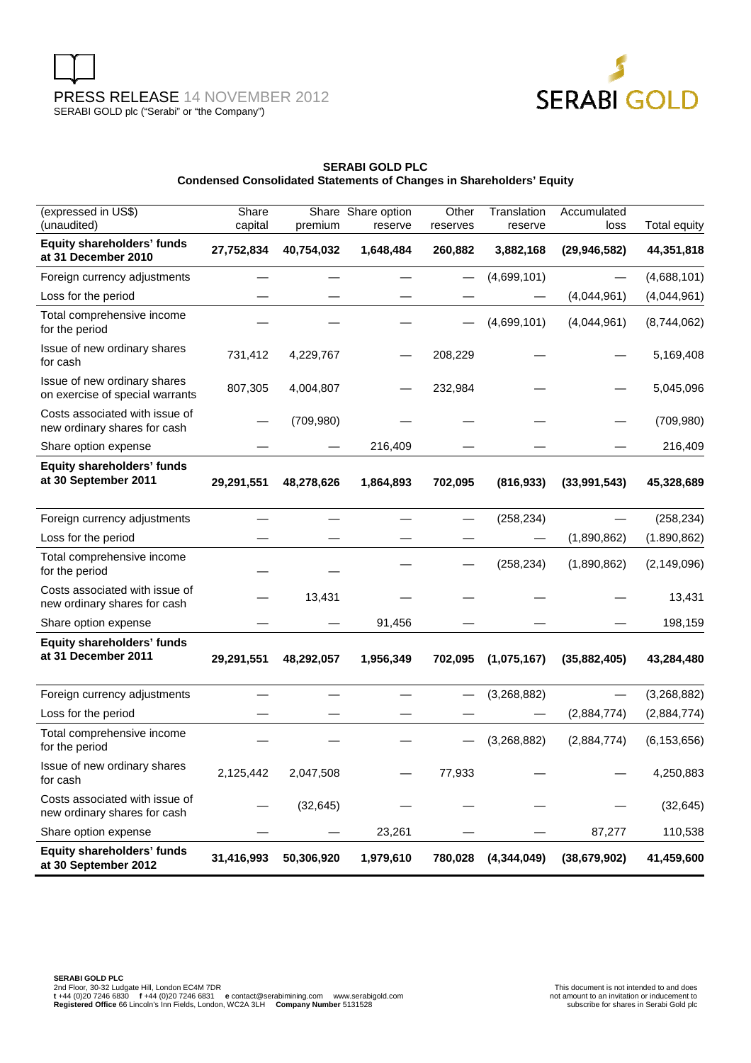



#### **SERABI GOLD PLC Condensed Consolidated Statements of Changes in Shareholders' Equity**

| (expressed in US\$)                                             | Share      |            | Share Share option | Other    | Translation | Accumulated    |                     |
|-----------------------------------------------------------------|------------|------------|--------------------|----------|-------------|----------------|---------------------|
| (unaudited)                                                     | capital    | premium    | reserve            | reserves | reserve     | loss           | <b>Total equity</b> |
| Equity shareholders' funds<br>at 31 December 2010               | 27,752,834 | 40,754,032 | 1,648,484          | 260,882  | 3,882,168   | (29, 946, 582) | 44,351,818          |
| Foreign currency adjustments                                    |            |            |                    |          | (4,699,101) |                | (4,688,101)         |
| Loss for the period                                             |            |            |                    |          |             | (4,044,961)    | (4,044,961)         |
| Total comprehensive income<br>for the period                    |            |            |                    |          | (4,699,101) | (4,044,961)    | (8,744,062)         |
| Issue of new ordinary shares<br>for cash                        | 731,412    | 4,229,767  |                    | 208,229  |             |                | 5,169,408           |
| Issue of new ordinary shares<br>on exercise of special warrants | 807,305    | 4,004,807  |                    | 232,984  |             |                | 5,045,096           |
| Costs associated with issue of<br>new ordinary shares for cash  |            | (709, 980) |                    |          |             |                | (709, 980)          |
| Share option expense                                            |            |            | 216,409            |          |             |                | 216,409             |
| Equity shareholders' funds<br>at 30 September 2011              | 29,291,551 | 48,278,626 | 1,864,893          | 702,095  | (816, 933)  | (33,991,543)   | 45,328,689          |
| Foreign currency adjustments                                    |            |            |                    |          | (258, 234)  |                | (258, 234)          |
| Loss for the period                                             |            |            |                    |          |             | (1,890,862)    | (1.890, 862)        |
| Total comprehensive income<br>for the period                    |            |            |                    |          | (258, 234)  | (1,890,862)    | (2, 149, 096)       |
| Costs associated with issue of<br>new ordinary shares for cash  |            | 13,431     |                    |          |             |                | 13,431              |
| Share option expense                                            |            |            | 91,456             |          |             |                | 198,159             |
| Equity shareholders' funds<br>at 31 December 2011               | 29,291,551 | 48,292,057 | 1,956,349          | 702,095  | (1,075,167) | (35,882,405)   | 43,284,480          |
| Foreign currency adjustments                                    |            |            |                    |          | (3,268,882) |                | (3,268,882)         |
| Loss for the period                                             |            |            |                    |          |             | (2,884,774)    | (2,884,774)         |
| Total comprehensive income<br>for the period                    |            |            |                    |          | (3,268,882) | (2,884,774)    | (6, 153, 656)       |
| Issue of new ordinary shares<br>for cash                        | 2,125,442  | 2,047,508  |                    | 77,933   |             |                | 4,250,883           |
| Costs associated with issue of<br>new ordinary shares for cash  |            | (32, 645)  |                    |          |             |                | (32, 645)           |
| Share option expense                                            |            |            | 23,261             |          |             | 87,277         | 110,538             |
| Equity shareholders' funds<br>at 30 September 2012              | 31,416,993 | 50,306,920 | 1,979,610          | 780,028  | (4,344,049) | (38, 679, 902) | 41,459,600          |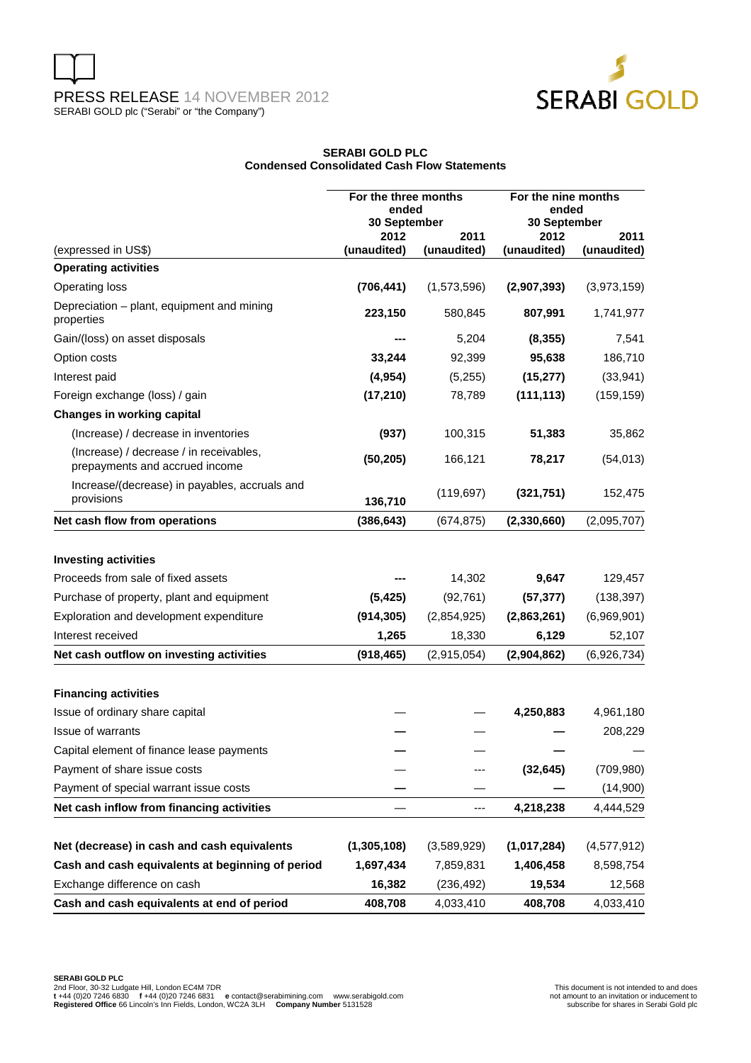

#### **SERABI GOLD PLC Condensed Consolidated Cash Flow Statements**

|                                                                           | For the three months<br>ended<br>30 September |             | For the nine months<br>ended<br>30 September |               |
|---------------------------------------------------------------------------|-----------------------------------------------|-------------|----------------------------------------------|---------------|
|                                                                           | 2012                                          | 2011        | 2012                                         | 2011          |
| (expressed in US\$)                                                       | (unaudited)                                   | (unaudited) | (unaudited)                                  | (unaudited)   |
| <b>Operating activities</b>                                               |                                               |             |                                              |               |
| Operating loss                                                            | (706, 441)                                    | (1,573,596) | (2,907,393)                                  | (3,973,159)   |
| Depreciation - plant, equipment and mining<br>properties                  | 223,150                                       | 580,845     | 807,991                                      | 1,741,977     |
| Gain/(loss) on asset disposals                                            |                                               | 5,204       | (8, 355)                                     | 7,541         |
| Option costs                                                              | 33.244                                        | 92,399      | 95,638                                       | 186,710       |
| Interest paid                                                             | (4, 954)                                      | (5,255)     | (15, 277)                                    | (33, 941)     |
| Foreign exchange (loss) / gain                                            | (17, 210)                                     | 78,789      | (111, 113)                                   | (159, 159)    |
| <b>Changes in working capital</b>                                         |                                               |             |                                              |               |
| (Increase) / decrease in inventories                                      | (937)                                         | 100,315     | 51,383                                       | 35,862        |
| (Increase) / decrease / in receivables,<br>prepayments and accrued income | (50, 205)                                     | 166,121     | 78,217                                       | (54, 013)     |
| Increase/(decrease) in payables, accruals and<br>provisions               | 136,710                                       | (119, 697)  | (321, 751)                                   | 152,475       |
| Net cash flow from operations                                             | (386, 643)                                    | (674, 875)  | (2,330,660)                                  | (2,095,707)   |
| <b>Investing activities</b><br>Proceeds from sale of fixed assets         |                                               | 14,302      | 9,647                                        | 129,457       |
| Purchase of property, plant and equipment                                 | (5, 425)                                      | (92, 761)   | (57, 377)                                    | (138, 397)    |
| Exploration and development expenditure                                   | (914, 305)                                    | (2,854,925) | (2,863,261)                                  | (6,969,901)   |
| Interest received                                                         | 1,265                                         | 18,330      | 6,129                                        | 52,107        |
| Net cash outflow on investing activities                                  | (918, 465)                                    | (2,915,054) | (2,904,862)                                  | (6,926,734)   |
| <b>Financing activities</b>                                               |                                               |             |                                              |               |
| Issue of ordinary share capital                                           |                                               |             | 4,250,883                                    | 4,961,180     |
| <b>Issue of warrants</b>                                                  |                                               |             |                                              | 208,229       |
| Capital element of finance lease payments                                 |                                               |             |                                              |               |
| Payment of share issue costs                                              |                                               |             | (32, 645)                                    | (709, 980)    |
| Payment of special warrant issue costs                                    |                                               |             |                                              | (14,900)      |
| Net cash inflow from financing activities                                 |                                               | ---         | 4,218,238                                    | 4,444,529     |
|                                                                           |                                               |             |                                              |               |
| Net (decrease) in cash and cash equivalents                               | (1,305,108)                                   | (3,589,929) | (1,017,284)                                  | (4, 577, 912) |
| Cash and cash equivalents at beginning of period                          | 1,697,434                                     | 7,859,831   | 1,406,458                                    | 8,598,754     |
| Exchange difference on cash                                               | 16,382                                        | (236, 492)  | 19,534                                       | 12,568        |
| Cash and cash equivalents at end of period                                | 408,708                                       | 4,033,410   | 408,708                                      | 4,033,410     |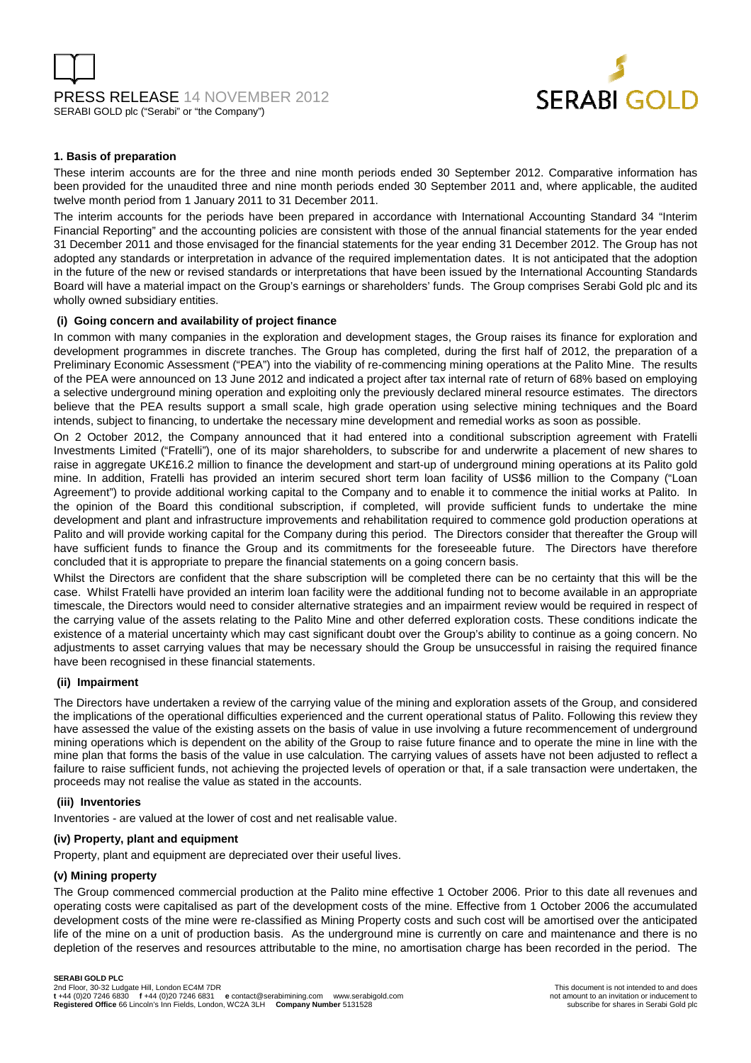



#### **1. Basis of preparation**

These interim accounts are for the three and nine month periods ended 30 September 2012. Comparative information has been provided for the unaudited three and nine month periods ended 30 September 2011 and, where applicable, the audited twelve month period from 1 January 2011 to 31 December 2011.

The interim accounts for the periods have been prepared in accordance with International Accounting Standard 34 "Interim Financial Reporting" and the accounting policies are consistent with those of the annual financial statements for the year ended 31 December 2011 and those envisaged for the financial statements for the year ending 31 December 2012. The Group has not adopted any standards or interpretation in advance of the required implementation dates. It is not anticipated that the adoption in the future of the new or revised standards or interpretations that have been issued by the International Accounting Standards Board will have a material impact on the Group's earnings or shareholders' funds. The Group comprises Serabi Gold plc and its wholly owned subsidiary entities.

#### **(i) Going concern and availability of project finance**

In common with many companies in the exploration and development stages, the Group raises its finance for exploration and development programmes in discrete tranches. The Group has completed, during the first half of 2012, the preparation of a Preliminary Economic Assessment ("PEA") into the viability of re-commencing mining operations at the Palito Mine. The results of the PEA were announced on 13 June 2012 and indicated a project after tax internal rate of return of 68% based on employing a selective underground mining operation and exploiting only the previously declared mineral resource estimates. The directors believe that the PEA results support a small scale, high grade operation using selective mining techniques and the Board intends, subject to financing, to undertake the necessary mine development and remedial works as soon as possible.

On 2 October 2012, the Company announced that it had entered into a conditional subscription agreement with Fratelli Investments Limited ("Fratelli"), one of its major shareholders, to subscribe for and underwrite a placement of new shares to raise in aggregate UK£16.2 million to finance the development and start-up of underground mining operations at its Palito gold mine. In addition, Fratelli has provided an interim secured short term loan facility of US\$6 million to the Company ("Loan Agreement") to provide additional working capital to the Company and to enable it to commence the initial works at Palito. In the opinion of the Board this conditional subscription, if completed, will provide sufficient funds to undertake the mine development and plant and infrastructure improvements and rehabilitation required to commence gold production operations at Palito and will provide working capital for the Company during this period. The Directors consider that thereafter the Group will have sufficient funds to finance the Group and its commitments for the foreseeable future. The Directors have therefore concluded that it is appropriate to prepare the financial statements on a going concern basis.

Whilst the Directors are confident that the share subscription will be completed there can be no certainty that this will be the case. Whilst Fratelli have provided an interim loan facility were the additional funding not to become available in an appropriate timescale, the Directors would need to consider alternative strategies and an impairment review would be required in respect of the carrying value of the assets relating to the Palito Mine and other deferred exploration costs. These conditions indicate the existence of a material uncertainty which may cast significant doubt over the Group's ability to continue as a going concern. No adjustments to asset carrying values that may be necessary should the Group be unsuccessful in raising the required finance have been recognised in these financial statements.

#### **(ii) Impairment**

The Directors have undertaken a review of the carrying value of the mining and exploration assets of the Group, and considered the implications of the operational difficulties experienced and the current operational status of Palito. Following this review they have assessed the value of the existing assets on the basis of value in use involving a future recommencement of underground mining operations which is dependent on the ability of the Group to raise future finance and to operate the mine in line with the mine plan that forms the basis of the value in use calculation. The carrying values of assets have not been adjusted to reflect a failure to raise sufficient funds, not achieving the projected levels of operation or that, if a sale transaction were undertaken, the proceeds may not realise the value as stated in the accounts.

#### **(iii) Inventories**

Inventories - are valued at the lower of cost and net realisable value.

#### **(iv) Property, plant and equipment**

Property, plant and equipment are depreciated over their useful lives.

#### **(v) Mining property**

The Group commenced commercial production at the Palito mine effective 1 October 2006. Prior to this date all revenues and operating costs were capitalised as part of the development costs of the mine. Effective from 1 October 2006 the accumulated development costs of the mine were re-classified as Mining Property costs and such cost will be amortised over the anticipated life of the mine on a unit of production basis. As the underground mine is currently on care and maintenance and there is no depletion of the reserves and resources attributable to the mine, no amortisation charge has been recorded in the period. The